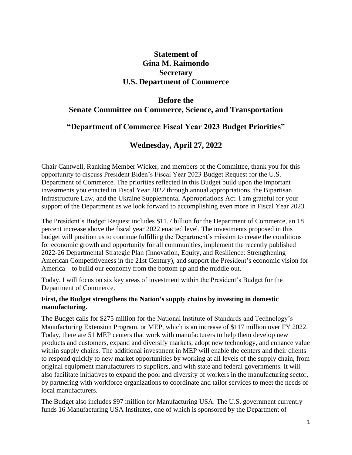# **Statement of Gina M. Raimondo Secretary U.S. Department of Commerce**

# **Before the Senate Committee on Commerce, Science, and Transportation**

### **"Department of Commerce Fiscal Year 2023 Budget Priorities"**

# **Wednesday, April 27, 2022**

Chair Cantwell, Ranking Member Wicker, and members of the Committee, thank you for this opportunity to discuss President Biden's Fiscal Year 2023 Budget Request for the U.S. Department of Commerce. The priorities reflected in this Budget build upon the important investments you enacted in Fiscal Year 2022 through annual appropriations, the Bipartisan Infrastructure Law, and the Ukraine Supplemental Appropriations Act. I am grateful for your support of the Department as we look forward to accomplishing even more in Fiscal Year 2023.

The President's Budget Request includes \$11.7 billion for the Department of Commerce, an 18 percent increase above the fiscal year 2022 enacted level. The investments proposed in this budget will position us to continue fulfilling the Department's mission to create the conditions for economic growth and opportunity for all communities, implement the recently published 2022-26 Departmental Strategic Plan (Innovation, Equity, and Resilience: Strengthening American Competitiveness in the 21st Century), and support the President's economic vision for America – to build our economy from the bottom up and the middle out.

Today, I will focus on six key areas of investment within the President's Budget for the Department of Commerce.

#### **First, the Budget strengthens the Nation's supply chains by investing in domestic manufacturing.**

The Budget calls for \$275 million for the National Institute of Standards and Technology's Manufacturing Extension Program, or MEP, which is an increase of \$117 million over FY 2022. Today, there are 51 MEP centers that work with manufacturers to help them develop new products and customers, expand and diversify markets, adopt new technology, and enhance value within supply chains. The additional investment in MEP will enable the centers and their clients to respond quickly to new market opportunities by working at all levels of the supply chain, from original equipment manufacturers to suppliers, and with state and federal governments. It will also facilitate initiatives to expand the pool and diversity of workers in the manufacturing sector, by partnering with workforce organizations to coordinate and tailor services to meet the needs of local manufacturers.

The Budget also includes \$97 million for Manufacturing USA. The U.S. government currently funds 16 Manufacturing USA Institutes, one of which is sponsored by the Department of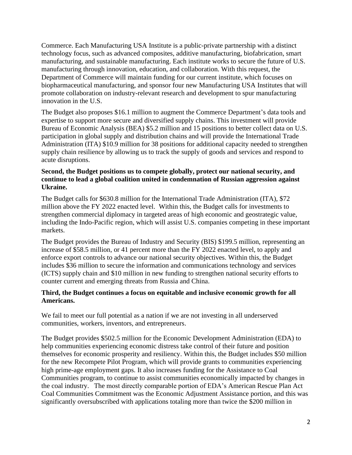Commerce. Each Manufacturing USA Institute is a public-private partnership with a distinct technology focus, such as advanced composites, additive manufacturing, biofabrication, smart manufacturing, and sustainable manufacturing. Each institute works to secure the future of U.S. manufacturing through innovation, education, and collaboration. With this request, the Department of Commerce will maintain funding for our current institute, which focuses on biopharmaceutical manufacturing, and sponsor four new Manufacturing USA Institutes that will promote collaboration on industry-relevant research and development to spur manufacturing innovation in the U.S.

The Budget also proposes \$16.1 million to augment the Commerce Department's data tools and expertise to support more secure and diversified supply chains. This investment will provide Bureau of Economic Analysis (BEA) \$5.2 million and 15 positions to better collect data on U.S. participation in global supply and distribution chains and will provide the International Trade Administration (ITA) \$10.9 million for 38 positions for additional capacity needed to strengthen supply chain resilience by allowing us to track the supply of goods and services and respond to acute disruptions.

#### **Second, the Budget positions us to compete globally, protect our national security, and continue to lead a global coalition united in condemnation of Russian aggression against Ukraine.**

The Budget calls for \$630.8 million for the International Trade Administration (ITA), \$72 million above the FY 2022 enacted level. Within this, the Budget calls for investments to strengthen commercial diplomacy in targeted areas of high economic and geostrategic value, including the Indo-Pacific region, which will assist U.S. companies competing in these important markets.

The Budget provides the Bureau of Industry and Security (BIS) \$199.5 million, representing an increase of \$58.5 million, or 41 percent more than the FY 2022 enacted level, to apply and enforce export controls to advance our national security objectives. Within this, the Budget includes \$36 million to secure the information and communications technology and services (ICTS) supply chain and \$10 million in new funding to strengthen national security efforts to counter current and emerging threats from Russia and China.

#### **Third, the Budget continues a focus on equitable and inclusive economic growth for all Americans.**

We fail to meet our full potential as a nation if we are not investing in all underserved communities, workers, inventors, and entrepreneurs.

The Budget provides \$502.5 million for the Economic Development Administration (EDA) to help communities experiencing economic distress take control of their future and position themselves for economic prosperity and resiliency. Within this, the Budget includes \$50 million for the new Recompete Pilot Program, which will provide grants to communities experiencing high prime-age employment gaps. It also increases funding for the Assistance to Coal Communities program, to continue to assist communities economically impacted by changes in the coal industry. The most directly comparable portion of EDA's American Rescue Plan Act Coal Communities Commitment was the Economic Adjustment Assistance portion, and this was significantly oversubscribed with applications totaling more than twice the \$200 million in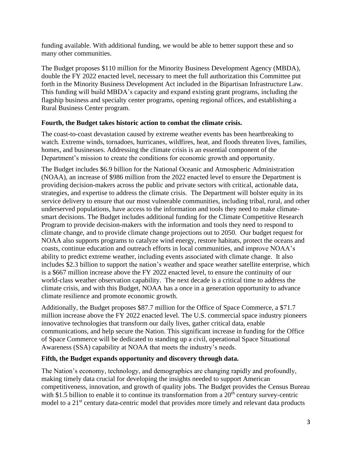funding available. With additional funding, we would be able to better support these and so many other communities.

The Budget proposes \$110 million for the Minority Business Development Agency (MBDA), double the FY 2022 enacted level, necessary to meet the full authorization this Committee put forth in the Minority Business Development Act included in the Bipartisan Infrastructure Law. This funding will build MBDA's capacity and expand existing grant programs, including the flagship business and specialty center programs, opening regional offices, and establishing a Rural Business Center program.

#### **Fourth, the Budget takes historic action to combat the climate crisis.**

The coast-to-coast devastation caused by extreme weather events has been heartbreaking to watch. Extreme winds, tornadoes, hurricanes, wildfires, heat, and floods threaten lives, families, homes, and businesses. Addressing the climate crisis is an essential component of the Department's mission to create the conditions for economic growth and opportunity.

The Budget includes \$6.9 billion for the National Oceanic and Atmospheric Administration (NOAA), an increase of \$986 million from the 2022 enacted level to ensure the Department is providing decision-makers across the public and private sectors with critical, actionable data, strategies, and expertise to address the climate crisis. The Department will bolster equity in its service delivery to ensure that our most vulnerable communities, including tribal, rural, and other underserved populations, have access to the information and tools they need to make climatesmart decisions. The Budget includes additional funding for the Climate Competitive Research Program to provide decision-makers with the information and tools they need to respond to climate change, and to provide climate change projections out to 2050. Our budget request for NOAA also supports programs to catalyze wind energy, restore habitats, protect the oceans and coasts, continue education and outreach efforts in local communities, and improve NOAA's ability to predict extreme weather, including events associated with climate change. It also includes \$2.3 billion to support the nation's weather and space weather satellite enterprise, which is a \$667 million increase above the FY 2022 enacted level, to ensure the continuity of our world-class weather observation capability. The next decade is a critical time to address the climate crisis, and with this Budget, NOAA has a once in a generation opportunity to advance climate resilience and promote economic growth.

Additionally, the Budget proposes \$87.7 million for the Office of Space Commerce, a \$71.7 million increase above the FY 2022 enacted level. The U.S. commercial space industry pioneers innovative technologies that transform our daily lives, gather critical data, enable communications, and help secure the Nation. This significant increase in funding for the Office of Space Commerce will be dedicated to standing up a civil, operational Space Situational Awareness (SSA) capability at NOAA that meets the industry's needs.

### **Fifth, the Budget expands opportunity and discovery through data.**

The Nation's economy, technology, and demographics are changing rapidly and profoundly, making timely data crucial for developing the insights needed to support American competitiveness, innovation, and growth of quality jobs. The Budget provides the Census Bureau with \$1.5 billion to enable it to continue its transformation from a  $20<sup>th</sup>$  century survey-centric model to a 21<sup>st</sup> century data-centric model that provides more timely and relevant data products